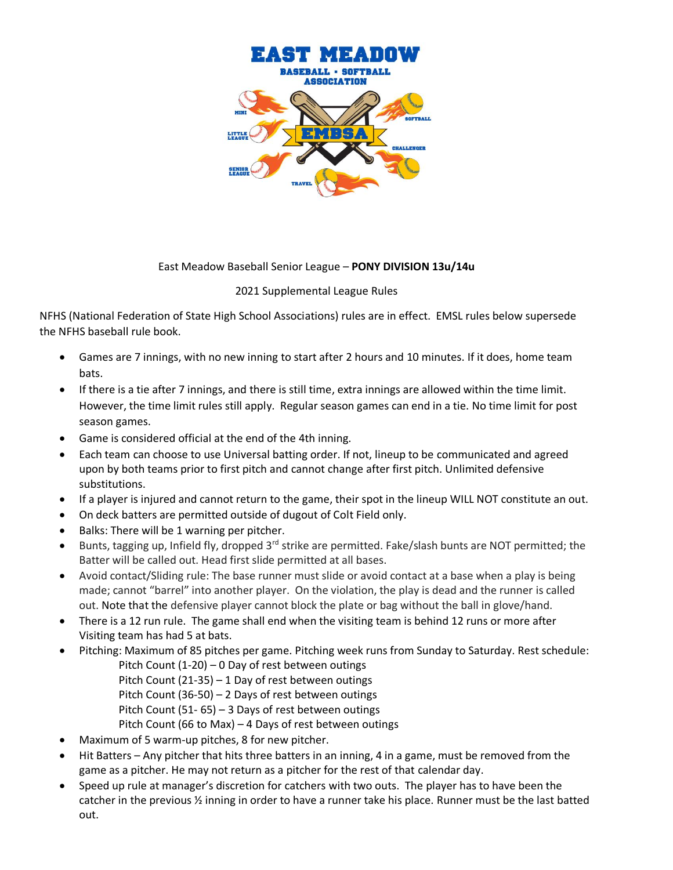

## East Meadow Baseball Senior League – **PONY DIVISION 13u/14u**

## 2021 Supplemental League Rules

NFHS (National Federation of State High School Associations) rules are in effect. EMSL rules below supersede the NFHS baseball rule book.

- Games are 7 innings, with no new inning to start after 2 hours and 10 minutes. If it does, home team bats.
- If there is a tie after 7 innings, and there is still time, extra innings are allowed within the time limit. However, the time limit rules still apply. Regular season games can end in a tie. No time limit for post season games.
- Game is considered official at the end of the 4th inning.
- Each team can choose to use Universal batting order. If not, lineup to be communicated and agreed upon by both teams prior to first pitch and cannot change after first pitch. Unlimited defensive substitutions.
- If a player is injured and cannot return to the game, their spot in the lineup WILL NOT constitute an out.
- On deck batters are permitted outside of dugout of Colt Field only.
- Balks: There will be 1 warning per pitcher.
- Bunts, tagging up, Infield fly, dropped  $3<sup>rd</sup>$  strike are permitted. Fake/slash bunts are NOT permitted; the Batter will be called out. Head first slide permitted at all bases.
- Avoid contact/Sliding rule: The base runner must slide or avoid contact at a base when a play is being made; cannot "barrel" into another player. On the violation, the play is dead and the runner is called out. Note that the defensive player cannot block the plate or bag without the ball in glove/hand.
- There is a 12 run rule. The game shall end when the visiting team is behind 12 runs or more after Visiting team has had 5 at bats.
- Pitching: Maximum of 85 pitches per game. Pitching week runs from Sunday to Saturday. Rest schedule:
	- Pitch Count (1-20) 0 Day of rest between outings
	- Pitch Count (21-35) 1 Day of rest between outings
	- Pitch Count (36-50) 2 Days of rest between outings
	- Pitch Count (51- 65) 3 Days of rest between outings
	- Pitch Count (66 to Max) 4 Days of rest between outings
- Maximum of 5 warm-up pitches, 8 for new pitcher.
- Hit Batters Any pitcher that hits three batters in an inning, 4 in a game, must be removed from the game as a pitcher. He may not return as a pitcher for the rest of that calendar day.
- Speed up rule at manager's discretion for catchers with two outs. The player has to have been the catcher in the previous ½ inning in order to have a runner take his place. Runner must be the last batted out.